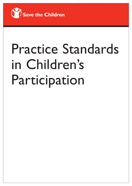

# Practice Standards in Children's Participation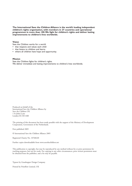**The International Save the Children Alliance is the world's leading independent children's rights organisation, with members in 27 countries and operational programmes in more than 100.We fight for children's rights and deliver lasting improvements to children's lives worldwide.**

#### **Vision**

Save the Children works for a world:

- that respects and values each child
- that listens to children and learns
- where all children have hope and opportunity.

#### **Mission**

Save the Children fights for children's rights. We deliver immediate and lasting improvements to children's lives worldwide.

Produced on behalf of the International Save the Children Alliance by Save the Children UK 1 St John's Lane London EC1M 4AR

The printing of this document has been made possible with the support of the Ministry of Development Cooperation, Government of the Netherlands.

First published 2005

© International Save the Children Alliance 2005

Registered Charity No. 10768220

Further copies downloadable from www.savethechildren.net

This publication is copyright, but may be reproduced by any method without fee or prior permission for teaching purposes, but not for resale. For copying in any other circumstances, prior written permission must be obtained from the publisher, and a fee may be payable.

Typeset by Grasshopper Design Company

Printed by Printflow Limited, UK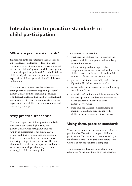# **Introduction to practice standards in child participation**

# **What are practice standards?**

Practice standards<sup>1</sup> are statements that describe an expected level of performance. These practice standards state what children and others can expect of Save the Children's practice in child participation. They are designed to apply to all Save the Children's child participation work and represent minimum expectations of the ways in which staff will behave and operate.

These practice standards have been developed through years of experience supporting children's participation at both the local and global levels. This final set of standards is based on feedback and consultations with Save the Children staff, partner organisations and children in various countries and community settings.

# **Why practice standards?**

The primary purpose of these practice standards is to ensure consistent, high quality child participation practice throughout Save the Children's programmes. They aim to provide a framework that gives guidance and direction first and foremost to field staff in continuously improving their participatory practice. They are also intended for sharing with partners and others as the basis for dialogue about ways to ensure meaningful children's participation.

The standards can be used to:

- assist Save the Children staff in assessing their practice in child participation and identifying areas of improvement
- inform training and other approaches to competency that ensures that staff working with children have the attitudes, skills and confidence required to deliver the practice standards
- provide a basis for accountability and challenge if practice falls below a certain standard
- review and evaluate current practice and identify goals for the future
- establish a safe and meaningful environment for the participation of children and minimise the risk to children from involvement in participatory practice
- share Save the Children's understanding of meaningful children's participation with children's organisations and other partners.

# **Using these practice standards**

These practice standards are intended to guide the practice of staff working to support children's participation. Each standard is accompanied by a set of criteria that can be used as indicators to see whether or not the standard is being met.

The standards are designed to be relevant and achievable. At the same time, given the enormous

<sup>1</sup> Also known as 'minimum quality standards' or 'key elements'.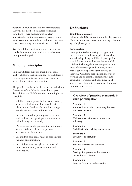variation in country contexts and circumstances, they will also need to be adapted to fit local conditions. There must always be a clear understanding of the implications relating to local social, economic, cultural and traditional practices, as well as to the age and maturity of the child.

Save the Children staff should use these practice standards in conjunction with the organisation's child protection policy.

# **Guiding principles**

Save the Children supports meaningful, good quality children's participation that gives children a genuine opportunity to express their views, be involved in decisions or take action.

The practice standards should be interpreted within the context of the following general principles derived from the UN Convention on the Rights of the Child.

- Children have rights to be listened to, to freely express their views on all matters that affect them, and to freedom of expression, thought, association and access to information.
- Measures should be put in place to encourage and facilitate their participation in accordance with their age and maturity.
- Participation should promote the best interest of the child and enhance the personal development of each child.
- All children have equal rights to participation without discrimination.
- All children have the right to be protected from manipulation, violence, abuse and exploitation.

# **Definitions**

#### **Child/Young person**

Following the UN Convention on the Rights of the Child, a child means every human being below the age of eighteen years.

#### **Participation**

Participation is about having the opportunity to express a view, influencing decision-making and achieving change. Children's participation is an informed and willing involvement of all children, including the most marginalised and those of different ages and abilities, in any matter concerning them either directly or indirectly. Children's participation is a way of working and an essential principle that cuts across all programmes and takes place in all arenas – from homes to government, from local to international levels.

#### **Overview of practice standards in child participation**

#### **Standard 1**

An ethical approach: transparency, honesty and accountability

**Standard 2**  Children's participation is relevant and voluntary

**Standard 3**  A child-friendly, enabling environment

**Standard 4**  Equality of opportunity

**Standard 5**  Staff are effective and confident

**Standard 6** Participation promotes the safety and protection of children

**Standard 7**  Ensuring follow-up and evaluation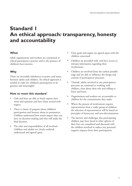# **Standard I An ethical approach: transparency, honesty and accountability**

#### **What**

Adult organisations and workers are committed to ethical participatory practice and to the primacy of children's best interests.

### **Why**

There are inevitable imbalances in power and status between adults and children. An ethical approach is needed in order for children's participation to be genuine and meaningful.

- Girls and boys are able to freely express their views and opinions and have them treated with respect.
- There is clarity of purpose about children's participation and honesty about its parameters. Children understand how much impact they can have on decision-making and who will make the final decision.
- The roles and responsibilities of all involved (children and adults) are clearly outlined, understood and agreed upon.
- Clear goals and targets are agreed upon with the children concerned.
- Children are provided with, and have access to, relevant information regarding their involvement.
- Children are involved from the earliest possible stage and are able to influence the design and content of participatory processes.
- 'Outside' adults involved in any participatory processes are sensitised to working with children, clear about their role and willing to listen and learn.
- Organisations and workers are accountable to children for the commitments they make.
- Where the process of involvement requires representation from a wider group of children, the selection of representatives will be based on principles of democracy and non-discrimination.
- The barriers and challenges that participating children may have faced in other spheres of their lives are considered and discussed with the children involved to reduce any potential negative impacts from their participation.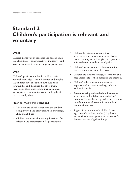# **Standard 2 Children's participation is relevant and voluntary**

#### **What**

Children participate in processes and address issues that affect them – either directly or indirectly – and have the choice as to whether to participate or not.

#### **Why**

Children's participation should build on their personal knowledge – the information and insights that children have about their own lives, their communities and the issues that affect them. Recognising their other commitments, children participate on their own terms and for lengths of time chosen by them.

- The issues are of real relevance to the children being involved and draw upon their knowledge, skills and abilities.
- Children are involved in setting the criteria for selection and representation for participation.
- Children have time to consider their involvement and processes are established to ensure that they are able to give their personal, informed consent to their participation.
- Children's participation is voluntary and they can withdraw at any time they wish.
- Children are involved in ways, at levels and at a pace appropriate to their capacities and interests.
- Children's other time commitments are respected and accommodated (eg, to home, work and school).
- Ways of working and methods of involvement incorporate, and build on, supportive local structures, knowledge and practice and take into consideration social, economic, cultural and traditional practices.
- Support from key adults in children's lives (eg, parents/guardians, teachers) is gained to ensure wider encouragement and assistance for the participation of girls and boys.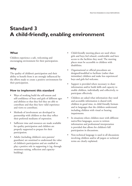# **Standard 3 A child-friendly, enabling environment**

### **What**

Children experience a safe, welcoming and encouraging environment for their participation.

# **Why**

The quality of children's participation and their ability to benefit from it are strongly influenced by the efforts made to create a positive environment for their participation.

- Ways of working build the self-esteem and self-confidence of boys and girls of different ages and abilities so that they feel they are able to contribute and that they have valid experience and views to contribute.
- Methods of involvement are developed in partnership with children so that they reflect their preferred mediums of expression.
- Sufficient time and resources are made available for quality participation and children are properly supported to prepare for their participation.
- Adults (including children's own parents/ guardians) are sensitised to understand the value of children's participation and are enabled to play a positive role in supporting it (eg, through awareness-raising, reflection and capacitybuilding).
- Child-friendly meeting places are used where girls and boys feel relaxed, comfortable and have access to the facilities they need. The meeting places must be accessible to children with disabilities.
- Organisational or official procedures are designed/modified to facilitate (rather than intimidate) children and make less experienced boys and girls feel welcome.
- Support is provided where necessary to share information and/or build skills and capacity to enable children, individually and collectively, to participate effectively.
- Children are asked what information they need and accessible information is shared with children in good time, in child friendly formats and in languages that the children understand, including children with visual or hearing impairments.
- In situations where children meet with different native/first languages, access to written information and professional interpretation is provided that allows for children's full participation in discussions.
- Non-technical language is used in all discussions involving children and/or all jargon or technical terms are clearly explained.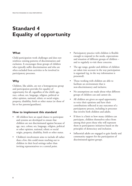# **Standard 4 Equality of opportunity**

#### **What**

Child participation work challenges and does not reinforce existing patterns of discrimination and exclusion. It encourages those groups of children who typically suffer discrimination and who are often excluded from activities to be involved in participatory processes.

### **Why**

Children, like adults, are not a homogeneous group and participation provides for equality of opportunity for all, regardless of the child's age, race, colour, sex, language, religion, political or other opinion, national, ethnic or social origin, property, disability, birth or other status (or those of his or her parents/guardians).

- All children have an equal chance to participate and systems are developed to ensure that children are not discriminated against because of age, race, colour, sex, language, religion, political or other opinion, national, ethnic or social origin, property, disability, birth or other status.
- Children's involvement aims to include all rather than a few, this could mean reaching out to children in their local settings rather than inviting representatives to a central point.
- Participatory practice with children is flexible enough to respond to the needs, expectations and situation of different groups of children – and to regularly re-visit these concerns.
- The age range, gender and abilities of children are taken into account in the way participation is organised (eg, in the way information is presented).
- Those working with children are able to facilitate an environment that is non-discriminatory and inclusive.
- No assumptions are made about what different groups of children can and cannot do.
- All children are given an equal opportunity to voice their opinions and have their contributions reflected in any outcomes of a participatory process, including in processes that involve both children and adults.
- If there is a limit to how many children can participate, children themselves select from among their peers those who will represent them in participatory initiatives based on the principles of democracy and inclusion.
- Influential adults are engaged to gain family and community support for the participation of discriminated-against groups.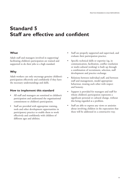# **Standard 5 Staff are effective and confident**

## **What**

Adult staff and managers involved in supporting/ facilitating children's participation are trained and supported to do their jobs to a high standard.

## **Why**

Adult workers can only encourage genuine children's participation effectively and confidently if they have the necessary understandings and skills.

- All staff and managers are sensitised to children's participation and understand the organisational commitment to children's participation.
- Staff are provided with appropriate training, tools and other development opportunities in participatory practice to enable them to work effectively and confidently with children of different ages and abilities.
- Staff are properly supported and supervised, and evaluate their participation practice.
- Specific technical skills or expertise (eg, in communication, facilitation, conflict resolution or multi-cultural working) is built up through a combination of recruitment, selection, staff development and practice exchange.
- Relations between individual staff, and between staff and management, model appropriate behaviour, treating each other with respect and honesty.
- Support is provided for managers and staff for whom children's participation represents a significant personal or cultural change, without this being regarded as a problem.
- Staff are able to express any views or anxieties about involving children in the expectation that these will be addressed in a constructive way.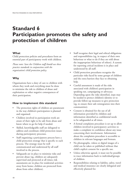# **Standard 6 Participation promotes the safety and protection of children**

#### **What**

Child protection policies and procedures form an essential part of participatory work with children.

*Please note: Save the Children staff should use these practice standards in conjunction with the organisation's child protection policy.*

## **Why**

Organisations have a duty of care to children with whom they work and everything must be done to minimise the risk to children of abuse and exploitation or other negative consequences of their participation.

- The protection rights of children are paramount in the way children's participation is planned and organised.
- Children involved in participation work are aware of their right to be safe from abuse and know where to go for help if needed.
- Skilled, knowledgeable staff are delegated to address and coordinate child protection issues during participatory processes.
- Staff organizing a participatory process have a child protection strategy that is specific to each process. The strategy must be well communicated and understood by all staff involved in the process.
- Safeguards are in place to minimise risks and prevent abuse (eg, children are adequately supervised and protected at all times; risk assessments are in place for residential activities away from home; children are protected from abuse from other children).
- Staff recognise their legal and ethical obligations and responsibilities (eg, in respect of their own behaviour or what to do if they are told about the inappropriate behaviour of others). A system for reporting critical incidents is in place and understood by all staff.
- Child protection procedures recognise the particular risks faced by some groups of children and the extra barriers they face to obtaining help.
- Careful assessment is made of the risks associated with children's participation in speaking out, campaigning or advocacy. Depending upon the risks identified, steps may be needed to protect children's identity or to provide follow-up measures to give protection (eg, to ensure their safe reintegration into their communities).
- Consent is obtained for the use of all information provided by children and information identified as confidential needs to be safeguarded at all times.
- A formal complaints procedure is set up to allow children involved in participatory activities to make a complaint in confidence about any issue concerning their involvement. Information about the complaints procedure is accessible to children in relevant languages and formats.
- No photographs, videos or digital images of a child can be taken or published without that child's explicit consent for a specific use.
- Unless otherwise agreed, it must not be possible to trace information back to individual/groups of children.
- Responsibilities relating to liability, safety, travel and medical insurance are clearly delegated and effectively planned for.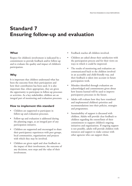# **Standard 7 Ensuring follow-up and evaluation**

#### **What**

Respect for children's involvement is indicated by a commitment to provide feedback and/or follow-up and to evaluate the quality and impact of children's participation.

## **Why**

It is important that children understand what has been the outcome from their participation and how their contribution has been used. It is also important that, where appropriate, they are given the opportunity to participate in follow-up processes or activities. As a key stakeholder, children are an integral part of monitoring and evaluation processes.

- Children are supported to participate in follow-up and evaluation processes.
- Follow-up and evaluation is addressed during the planning stages, as an integral part of any participation initiative.
- Children are supported and encouraged to share their participatory experiences with peer groups, local communities, organisations and projects with which they may be involved.
- Children are given rapid and clear feedback on the impact of their involvement, the outcome of any decisions, next steps and the value of their involvement.
- Feedback reaches all children involved.
- Children are asked about their satisfaction with the participation process and for their views on ways in which it could be improved.
- The results of monitoring and evaluation are communicated back to the children involved in an accessible and child-friendly way, and their feedback is taken into account in future participation work.
- Mistakes identified through evaluation are acknowledged and commitments given about how lessons learned will be used to improve participatory processes in the future.
- Adults will evaluate how they have translated and implemented children's priorities and recommendations into their policies, strategies and programmes.
- Sustainability of support is discussed with children. Adults will provide clear feedback to children regarding the extent/limit of their commitment to support children's ongoing initiatives and organisations. If ongoing support is not possible, adults will provide children with resources and support to make contact with other agencies who can support them.